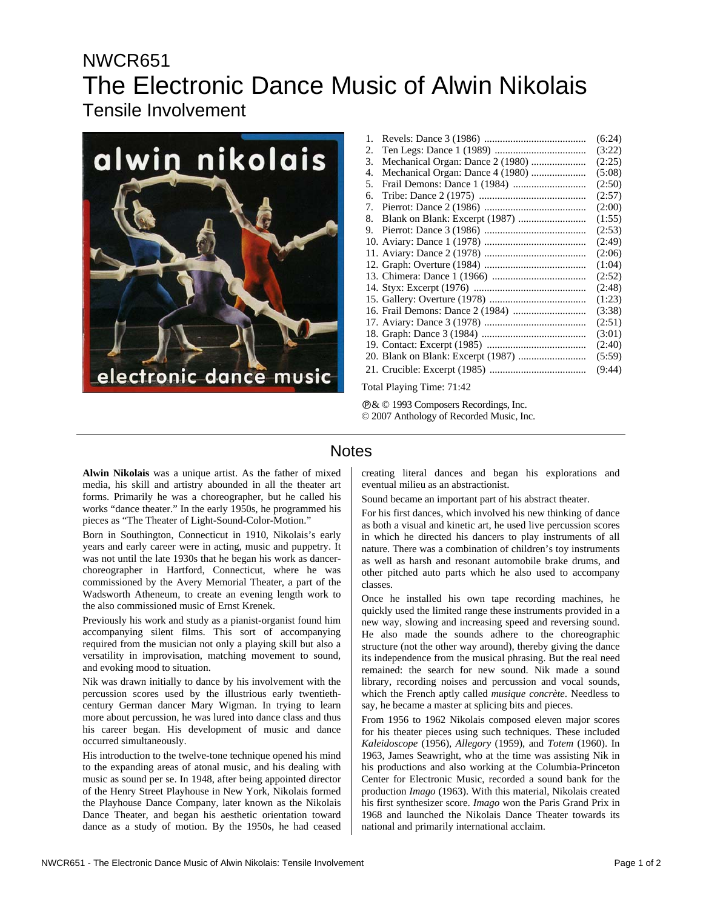## NWCR651 The Electronic Dance Music of Alwin Nikolais Tensile Involvement



| 1. |                                  | (6:24) |
|----|----------------------------------|--------|
| 2. |                                  | (3:22) |
| 3. | Mechanical Organ: Dance 2 (1980) | (2:25) |
| 4. | Mechanical Organ: Dance 4 (1980) | (5:08) |
| 5. |                                  | (2:50) |
| 6. |                                  | (2:57) |
| 7. |                                  | (2:00) |
| 8. |                                  | (1:55) |
| 9. |                                  | (2:53) |
|    |                                  | (2:49) |
|    |                                  | (2:06) |
|    |                                  | (1:04) |
|    |                                  | (2:52) |
|    |                                  | (2:48) |
|    |                                  | (1:23) |
|    |                                  | (3:38) |
|    |                                  | (2:51) |
|    |                                  | (3:01) |
|    |                                  | (2:40) |
|    |                                  | (5:59) |
|    |                                  | (9:44) |

Total Playing Time: 71:42

Ê& © 1993 Composers Recordings, Inc. © 2007 Anthology of Recorded Music, Inc.

## Notes

**Alwin Nikolais** was a unique artist. As the father of mixed media, his skill and artistry abounded in all the theater art forms. Primarily he was a choreographer, but he called his works "dance theater." In the early 1950s, he programmed his pieces as "The Theater of Light-Sound-Color-Motion."

Born in Southington, Connecticut in 1910, Nikolais's early years and early career were in acting, music and puppetry. It was not until the late 1930s that he began his work as dancerchoreographer in Hartford, Connecticut, where he was commissioned by the Avery Memorial Theater, a part of the Wadsworth Atheneum, to create an evening length work to the also commissioned music of Ernst Krenek.

Previously his work and study as a pianist-organist found him accompanying silent films. This sort of accompanying required from the musician not only a playing skill but also a versatility in improvisation, matching movement to sound, and evoking mood to situation.

Nik was drawn initially to dance by his involvement with the percussion scores used by the illustrious early twentiethcentury German dancer Mary Wigman. In trying to learn more about percussion, he was lured into dance class and thus his career began. His development of music and dance occurred simultaneously.

His introduction to the twelve-tone technique opened his mind to the expanding areas of atonal music, and his dealing with music as sound per se. In 1948, after being appointed director of the Henry Street Playhouse in New York, Nikolais formed the Playhouse Dance Company, later known as the Nikolais Dance Theater, and began his aesthetic orientation toward dance as a study of motion. By the 1950s, he had ceased creating literal dances and began his explorations and eventual milieu as an abstractionist.

Sound became an important part of his abstract theater.

For his first dances, which involved his new thinking of dance as both a visual and kinetic art, he used live percussion scores in which he directed his dancers to play instruments of all nature. There was a combination of children's toy instruments as well as harsh and resonant automobile brake drums, and other pitched auto parts which he also used to accompany classes.

Once he installed his own tape recording machines, he quickly used the limited range these instruments provided in a new way, slowing and increasing speed and reversing sound. He also made the sounds adhere to the choreographic structure (not the other way around), thereby giving the dance its independence from the musical phrasing. But the real need remained: the search for new sound. Nik made a sound library, recording noises and percussion and vocal sounds, which the French aptly called *musique concrète*. Needless to say, he became a master at splicing bits and pieces.

From 1956 to 1962 Nikolais composed eleven major scores for his theater pieces using such techniques. These included *Kaleidoscope* (1956), *Allegory* (1959), and *Totem* (1960). In 1963, James Seawright, who at the time was assisting Nik in his productions and also working at the Columbia-Princeton Center for Electronic Music, recorded a sound bank for the production *Imago* (1963). With this material, Nikolais created his first synthesizer score. *Imago* won the Paris Grand Prix in 1968 and launched the Nikolais Dance Theater towards its national and primarily international acclaim.